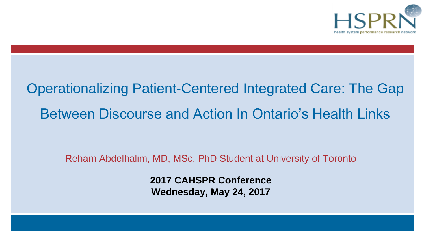

### Operationalizing Patient-Centered Integrated Care: The Gap Between Discourse and Action In Ontario's Health Links

Reham Abdelhalim, MD, MSc, PhD Student at University of Toronto

**2017 CAHSPR Conference Wednesday, May 24, 2017**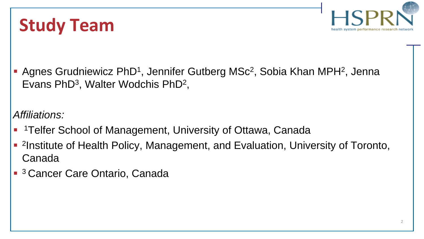



**- Agnes Grudniewicz PhD<sup>1</sup>, Jennifer Gutberg MSc<sup>2</sup>, Sobia Khan MPH<sup>2</sup>, Jenna** Evans PhD<sup>3</sup>, Walter Wodchis PhD<sup>2</sup>,

*Affiliations:*

- <sup>1</sup>Telfer School of Management, University of Ottawa, Canada
- **2Institute of Health Policy, Management, and Evaluation, University of Toronto,** Canada
- **B** 3 Cancer Care Ontario, Canada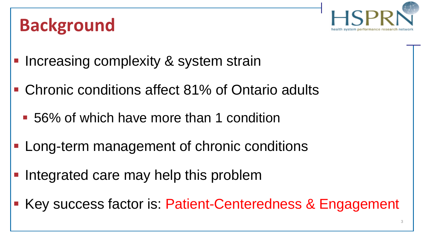

### **Background**

- Increasing complexity & system strain
- Chronic conditions affect 81% of Ontario adults
	- 56% of which have more than 1 condition
- **EXECT:** Long-term management of chronic conditions
- Integrated care may help this problem
- Key success factor is: Patient-Centeredness & Engagement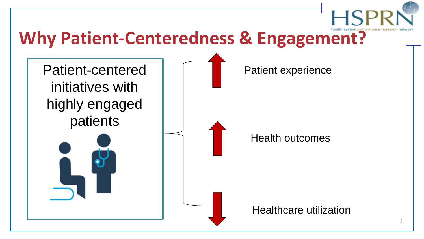

### **Why Patient-Centeredness & Engagement?**

Patient-centered initiatives with highly engaged patients

Patient experience

Health outcomes

#### Healthcare utilization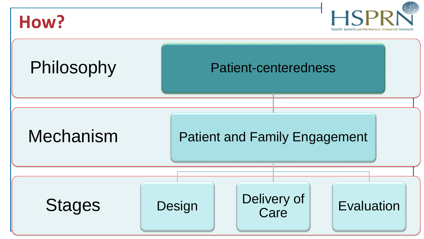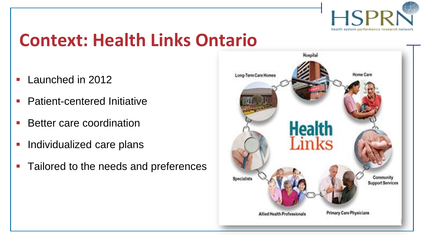

### **Context: Health Links Ontario**

- Launched in 2012
- **Patient-centered Initiative**
- **Better care coordination**
- Individualized care plans
- Tailored to the needs and preferences

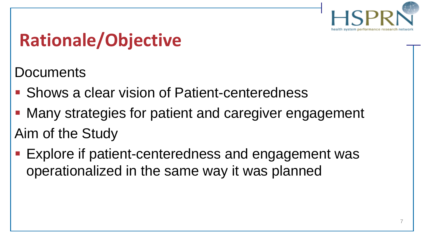

### **Rationale/Objective**

**Documents** 

- Shows a clear vision of Patient-centeredness
- Many strategies for patient and caregiver engagement Aim of the Study
- Explore if patient-centeredness and engagement was operationalized in the same way it was planned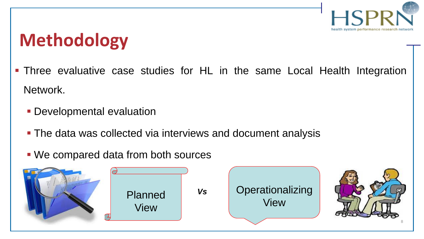

8

## **Methodology**

- **Three evaluative case studies for HL in the same Local Health Integration** Network.
	- **Developmental evaluation**
	- **The data was collected via interviews and document analysis**
	- We compared data from both sources

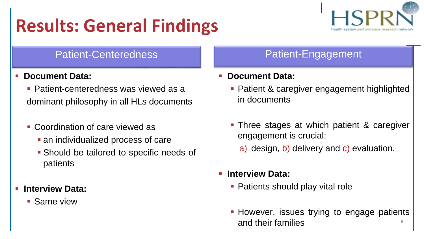### **Results: General Findings**

# 9

#### Patient-Centeredness **Patient-Engagement**

#### ▪ **Document Data:**

- Patient-centeredness was viewed as a dominant philosophy in all HLs documents
- Coordination of care viewed as
	- **an individualized process of care**
	- Should be tailored to specific needs of patients
- **Interview Data:** 
	- Same view

#### ▪ **Document Data:**

- Patient & caregiver engagement highlighted in documents
- **Three stages at which patient & caregiver** engagement is crucial:
	- a) design, b) delivery and c) evaluation.
- **Interview Data:**
	- Patients should play vital role
	- **EXTE:** However, issues trying to engage patients and their families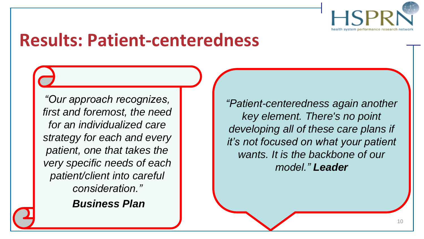

### **Results: Patient-centeredness**

*"Our approach recognizes, first and foremost, the need for an individualized care strategy for each and every patient, one that takes the very specific needs of each patient/client into careful consideration."*

*Business Plan*

*"Patient-centeredness again another key element. There's no point developing all of these care plans if it's not focused on what your patient wants. It is the backbone of our model." Leader*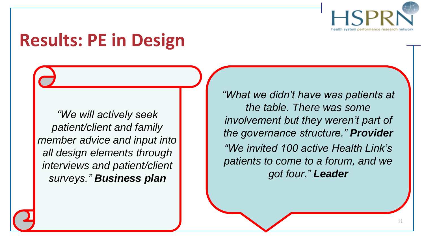

### **Results: PE in Design**

*"We will actively seek patient/client and family member advice and input into all design elements through interviews and patient/client surveys." Business plan*

*"What we didn't have was patients at the table. There was some involvement but they weren't part of the governance structure." Provider "We invited 100 active Health Link's patients to come to a forum, and we got four." Leader*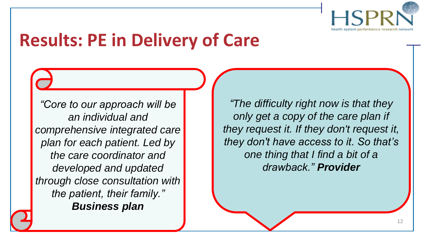

### **Results: PE in Delivery of Care**

*"Core to our approach will be an individual and comprehensive integrated care plan for each patient. Led by the care coordinator and developed and updated through close consultation with the patient, their family." Business plan*

*"The difficulty right now is that they only get a copy of the care plan if they request it. If they don't request it, they don't have access to it. So that's one thing that I find a bit of a drawback." Provider*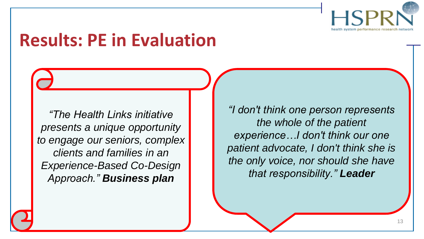

### **Results: PE in Evaluation**

*"The Health Links initiative presents a unique opportunity to engage our seniors, complex clients and families in an Experience-Based Co-Design Approach." Business plan*

*"I don't think one person represents the whole of the patient experience…I don't think our one patient advocate, I don't think she is the only voice, nor should she have that responsibility." Leader*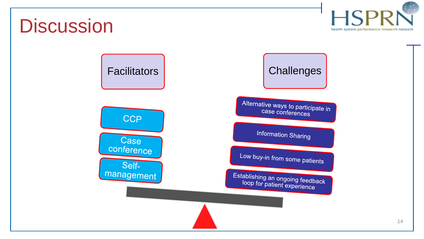



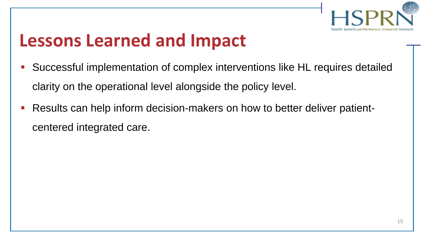

### **Lessons Learned and Impact**

- Successful implementation of complex interventions like HL requires detailed clarity on the operational level alongside the policy level.
- Results can help inform decision-makers on how to better deliver patientcentered integrated care.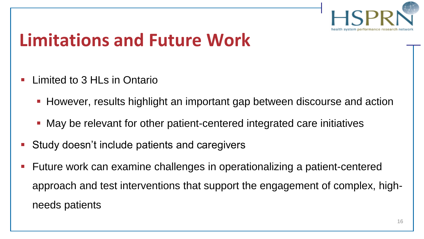

### **Limitations and Future Work**

- Limited to 3 HLs in Ontario
	- **However, results highlight an important gap between discourse and action**
	- May be relevant for other patient-centered integrated care initiatives
- Study doesn't include patients and caregivers
- Future work can examine challenges in operationalizing a patient-centered approach and test interventions that support the engagement of complex, highneeds patients